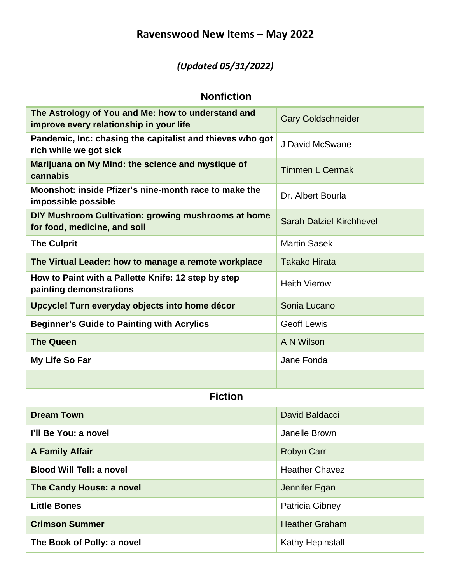# **Ravenswood New Items – May 2022**

# *(Updated 05/31/2022)*

#### **Nonfiction**

| The Astrology of You and Me: how to understand and<br>improve every relationship in your life | <b>Gary Goldschneider</b>       |
|-----------------------------------------------------------------------------------------------|---------------------------------|
| Pandemic, Inc: chasing the capitalist and thieves who got<br>rich while we got sick           | J David McSwane                 |
| Marijuana on My Mind: the science and mystique of<br>cannabis                                 | <b>Timmen L Cermak</b>          |
| Moonshot: inside Pfizer's nine-month race to make the<br>impossible possible                  | Dr. Albert Bourla               |
| DIY Mushroom Cultivation: growing mushrooms at home<br>for food, medicine, and soil           | <b>Sarah Dalziel-Kirchhevel</b> |
| <b>The Culprit</b>                                                                            | <b>Martin Sasek</b>             |
| The Virtual Leader: how to manage a remote workplace                                          | <b>Takako Hirata</b>            |
| How to Paint with a Pallette Knife: 12 step by step<br>painting demonstrations                | <b>Heith Vierow</b>             |
| Upcycle! Turn everyday objects into home décor                                                | Sonia Lucano                    |
| <b>Beginner's Guide to Painting with Acrylics</b>                                             | <b>Geoff Lewis</b>              |
| <b>The Queen</b>                                                                              | A N Wilson                      |
| My Life So Far                                                                                | Jane Fonda                      |
|                                                                                               |                                 |
| <b>Fiction</b>                                                                                |                                 |
| <b>Dream Town</b>                                                                             | David Baldacci                  |
| I'll Be You: a novel                                                                          | Janelle Brown                   |
| <b>A Family Affair</b>                                                                        | Robyn Carr                      |
| <b>Blood Will Tell: a novel</b>                                                               | <b>Heather Chavez</b>           |
| The Candy House: a novel                                                                      | Jennifer Egan                   |
| <b>Little Bones</b>                                                                           | Patricia Gibney                 |
| <b>Crimson Summer</b>                                                                         | <b>Heather Graham</b>           |
| The Book of Polly: a novel                                                                    | <b>Kathy Hepinstall</b>         |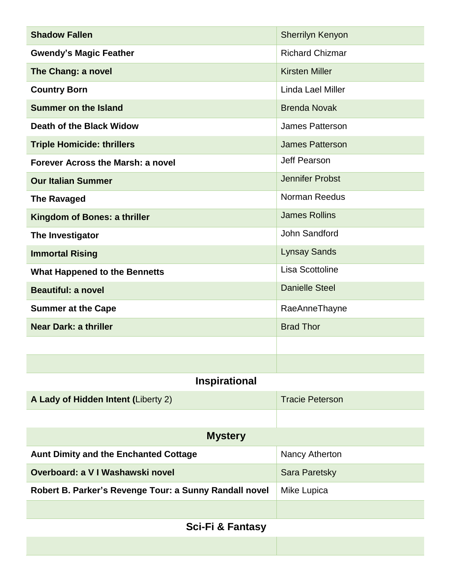| <b>Shadow Fallen</b>                                   | <b>Sherrilyn Kenyon</b> |  |
|--------------------------------------------------------|-------------------------|--|
| <b>Gwendy's Magic Feather</b>                          | <b>Richard Chizmar</b>  |  |
| The Chang: a novel                                     | <b>Kirsten Miller</b>   |  |
| <b>Country Born</b>                                    | Linda Lael Miller       |  |
| <b>Summer on the Island</b>                            | <b>Brenda Novak</b>     |  |
| Death of the Black Widow                               | <b>James Patterson</b>  |  |
| <b>Triple Homicide: thrillers</b>                      | <b>James Patterson</b>  |  |
| Forever Across the Marsh: a novel                      | <b>Jeff Pearson</b>     |  |
| <b>Our Italian Summer</b>                              | <b>Jennifer Probst</b>  |  |
| <b>The Ravaged</b>                                     | Norman Reedus           |  |
| Kingdom of Bones: a thriller                           | <b>James Rollins</b>    |  |
| The Investigator                                       | John Sandford           |  |
| <b>Immortal Rising</b>                                 | <b>Lynsay Sands</b>     |  |
| <b>What Happened to the Bennetts</b>                   | Lisa Scottoline         |  |
| <b>Beautiful: a novel</b>                              | <b>Danielle Steel</b>   |  |
| <b>Summer at the Cape</b>                              | RaeAnneThayne           |  |
| <b>Near Dark: a thriller</b>                           | <b>Brad Thor</b>        |  |
|                                                        |                         |  |
|                                                        |                         |  |
| <b>Inspirational</b>                                   |                         |  |
| A Lady of Hidden Intent (Liberty 2)                    | <b>Tracie Peterson</b>  |  |
|                                                        |                         |  |
| <b>Mystery</b>                                         |                         |  |
| <b>Aunt Dimity and the Enchanted Cottage</b>           | Nancy Atherton          |  |
| Overboard: a V I Washawski novel                       | Sara Paretsky           |  |
| Robert B. Parker's Revenge Tour: a Sunny Randall novel | Mike Lupica             |  |
|                                                        |                         |  |
| <b>Sci-Fi &amp; Fantasy</b>                            |                         |  |
|                                                        |                         |  |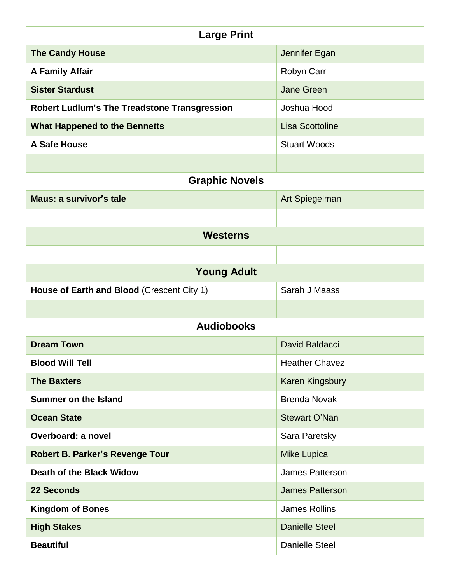| <b>Large Print</b>                                  |                        |  |
|-----------------------------------------------------|------------------------|--|
| <b>The Candy House</b>                              | Jennifer Egan          |  |
| <b>A Family Affair</b>                              | Robyn Carr             |  |
| <b>Sister Stardust</b>                              | <b>Jane Green</b>      |  |
| <b>Robert Ludlum's The Treadstone Transgression</b> | Joshua Hood            |  |
| <b>What Happened to the Bennetts</b>                | <b>Lisa Scottoline</b> |  |
| A Safe House                                        | <b>Stuart Woods</b>    |  |
|                                                     |                        |  |
| <b>Graphic Novels</b>                               |                        |  |
| <b>Maus: a survivor's tale</b>                      | Art Spiegelman         |  |
|                                                     |                        |  |
| <b>Westerns</b>                                     |                        |  |
|                                                     |                        |  |
| <b>Young Adult</b>                                  |                        |  |
| House of Earth and Blood (Crescent City 1)          | Sarah J Maass          |  |
|                                                     |                        |  |
| <b>Audiobooks</b>                                   |                        |  |
| <b>Dream Town</b>                                   | <b>David Baldacci</b>  |  |
| <b>Blood Will Tell</b>                              | <b>Heather Chavez</b>  |  |
| <b>The Baxters</b>                                  | <b>Karen Kingsbury</b> |  |
| <b>Summer on the Island</b>                         | <b>Brenda Novak</b>    |  |
| <b>Ocean State</b>                                  | <b>Stewart O'Nan</b>   |  |
| Overboard: a novel                                  | Sara Paretsky          |  |
| <b>Robert B. Parker's Revenge Tour</b>              | <b>Mike Lupica</b>     |  |
| Death of the Black Widow                            | James Patterson        |  |
| <b>22 Seconds</b>                                   | <b>James Patterson</b> |  |
| <b>Kingdom of Bones</b>                             | <b>James Rollins</b>   |  |
| <b>High Stakes</b>                                  | <b>Danielle Steel</b>  |  |
| <b>Beautiful</b>                                    | <b>Danielle Steel</b>  |  |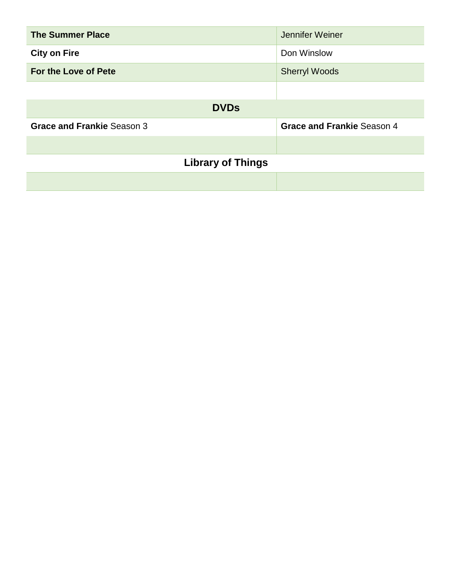| <b>The Summer Place</b>           | Jennifer Weiner                   |
|-----------------------------------|-----------------------------------|
| <b>City on Fire</b>               | Don Winslow                       |
| For the Love of Pete              | <b>Sherryl Woods</b>              |
|                                   |                                   |
| <b>DVDs</b>                       |                                   |
| <b>Grace and Frankie Season 3</b> | <b>Grace and Frankie Season 4</b> |
|                                   |                                   |
| <b>Library of Things</b>          |                                   |
|                                   |                                   |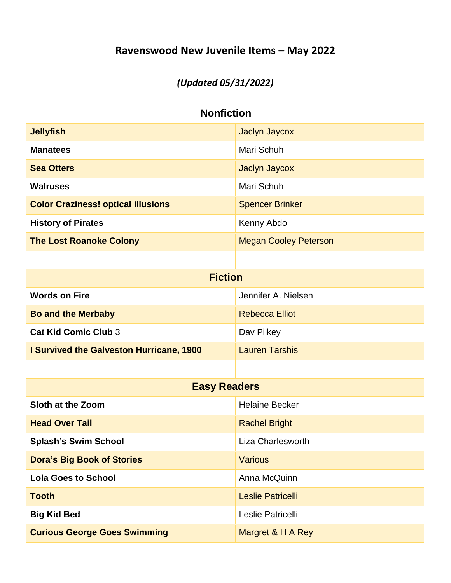# **Ravenswood New Juvenile Items – May 2022**

#### *(Updated 05/31/2022)*

#### **Nonfiction**

| <b>Jellyfish</b>                          | Jaclyn Jaycox                |
|-------------------------------------------|------------------------------|
| <b>Manatees</b>                           | Mari Schuh                   |
| <b>Sea Otters</b>                         | Jaclyn Jaycox                |
| <b>Walruses</b>                           | Mari Schuh                   |
| <b>Color Craziness! optical illusions</b> | <b>Spencer Brinker</b>       |
| <b>History of Pirates</b>                 | Kenny Abdo                   |
| <b>The Lost Roanoke Colony</b>            | <b>Megan Cooley Peterson</b> |
|                                           |                              |
| <b>Fiction</b>                            |                              |
| <b>Words on Fire</b>                      | Jennifer A. Nielsen          |
| <b>Bo and the Merbaby</b>                 | <b>Rebecca Elliot</b>        |

| <b>Cat Kid Comic Club 3</b>                     | Dav Pilkey            |
|-------------------------------------------------|-----------------------|
| <b>I Survived the Galveston Hurricane, 1900</b> | <b>Lauren Tarshis</b> |

| <b>Easy Readers</b>                 |                       |  |
|-------------------------------------|-----------------------|--|
| Sloth at the Zoom                   | <b>Helaine Becker</b> |  |
| <b>Head Over Tail</b>               | <b>Rachel Bright</b>  |  |
| <b>Splash's Swim School</b>         | Liza Charlesworth     |  |
| <b>Dora's Big Book of Stories</b>   | Various               |  |
| <b>Lola Goes to School</b>          | Anna McQuinn          |  |
| <b>Tooth</b>                        | Leslie Patricelli     |  |
| <b>Big Kid Bed</b>                  | Leslie Patricelli     |  |
| <b>Curious George Goes Swimming</b> | Margret & H A Rey     |  |